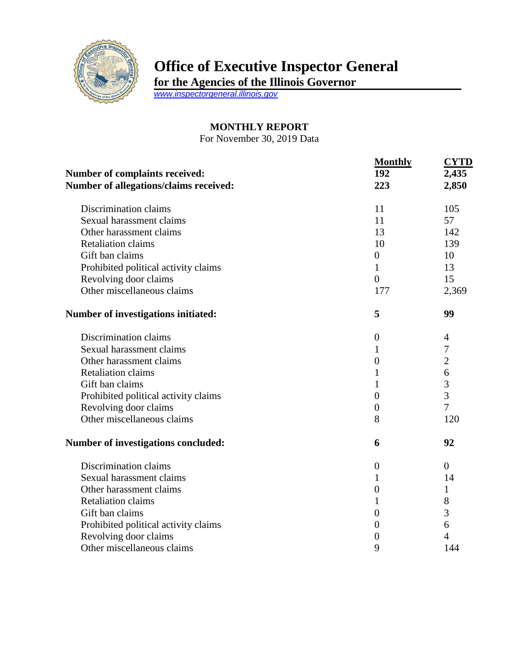

## **Office of Executive Inspector General**

**for the Agencies of the Illinois Governor**

*[www.inspectorgeneral.illinois.gov](http://www.inspectorgeneral.illinois.gov/)*

## **MONTHLY REPORT**

For November 30, 2019 Data

| Number of complaints received:<br>Number of allegations/claims received: | <b>Monthly</b><br>192<br>223 | <b>CYTD</b><br>2,435<br>2,850 |
|--------------------------------------------------------------------------|------------------------------|-------------------------------|
|                                                                          |                              |                               |
| Sexual harassment claims                                                 | 11                           | 57                            |
| Other harassment claims                                                  | 13                           | 142                           |
| <b>Retaliation claims</b>                                                | 10                           | 139                           |
| Gift ban claims                                                          | $\boldsymbol{0}$             | 10                            |
| Prohibited political activity claims                                     | $\mathbf{1}$                 | 13                            |
| Revolving door claims                                                    | $\overline{0}$               | 15                            |
| Other miscellaneous claims                                               | 177                          | 2,369                         |
| Number of investigations initiated:                                      | 5                            | 99                            |
| Discrimination claims                                                    | $\overline{0}$               | $\overline{4}$                |
| Sexual harassment claims                                                 | 1                            | 7                             |
| Other harassment claims                                                  | $\overline{0}$               | $\overline{2}$                |
| <b>Retaliation claims</b>                                                | 1                            | 6                             |
| Gift ban claims                                                          | $\mathbf{1}$                 | 3                             |
| Prohibited political activity claims                                     | $\overline{0}$               | 3                             |
| Revolving door claims                                                    | $\overline{0}$               | $\overline{7}$                |
| Other miscellaneous claims                                               | 8                            | 120                           |
| Number of investigations concluded:                                      | 6                            | 92                            |
| Discrimination claims                                                    | $\boldsymbol{0}$             | $\overline{0}$                |
| Sexual harassment claims                                                 | 1                            | 14                            |
| Other harassment claims                                                  | $\boldsymbol{0}$             | 1                             |
| <b>Retaliation claims</b>                                                | 1                            | 8                             |
| Gift ban claims                                                          | $\overline{0}$               | 3                             |
| Prohibited political activity claims                                     | 0                            | 6                             |
| Revolving door claims                                                    | 0                            | $\overline{4}$                |
| Other miscellaneous claims                                               | 9                            | 144                           |